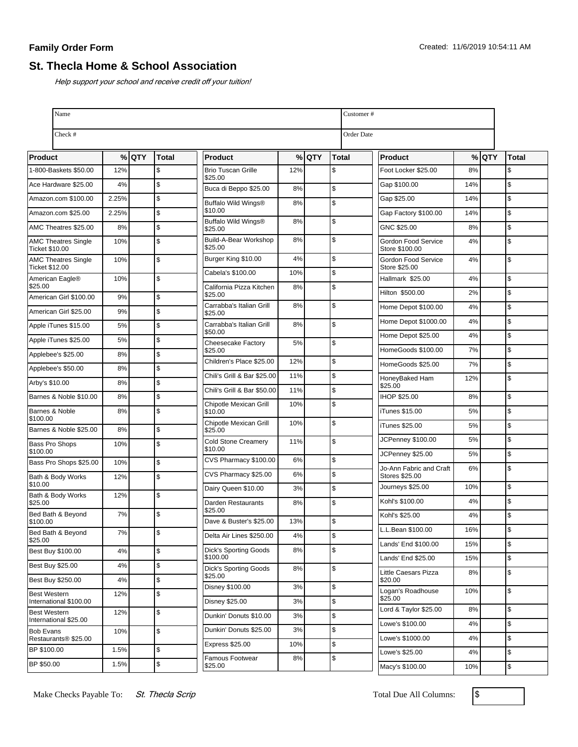## **Family Order Form**

## **St. Thecla Home & School Association**

Help support your school and receive credit off your tuition!

| Name                                                 |       |       |               |                                          |     |         |              | Customer#         |                                       |     |      |               |
|------------------------------------------------------|-------|-------|---------------|------------------------------------------|-----|---------|--------------|-------------------|---------------------------------------|-----|------|---------------|
| Check #                                              |       |       |               |                                          |     |         |              | <b>Order Date</b> |                                       |     |      |               |
| Product                                              |       | % QTY | <b>Total</b>  | <b>Product</b>                           |     | $%$ QTY | <b>Total</b> |                   | <b>Product</b>                        | %   | loty | <b>Total</b>  |
| 1-800-Baskets \$50.00                                | 12%   |       | \$            | <b>Brio Tuscan Grille</b><br>\$25.00     | 12% |         | \$           |                   | Foot Locker \$25.00                   | 8%  |      | \$            |
| Ace Hardware \$25.00                                 | 4%    |       | \$            | Buca di Beppo \$25.00                    | 8%  |         | \$           |                   | Gap \$100.00                          | 14% |      | \$            |
| Amazon.com \$100.00                                  | 2.25% |       | $\sqrt{2}$    | Buffalo Wild Wings®                      | 8%  |         | \$           |                   | Gap \$25.00                           | 14% |      | \$            |
| Amazon.com \$25.00                                   | 2.25% |       | $\mathsf{\$}$ | \$10.00                                  |     |         |              |                   | Gap Factory \$100.00                  | 14% |      | $\mathsf{\$}$ |
| AMC Theatres \$25.00                                 | 8%    |       | $\mathsf{\$}$ | Buffalo Wild Wings®<br>\$25.00           | 8%  |         | \$           |                   | GNC \$25.00                           | 8%  |      | \$            |
| <b>AMC Theatres Single</b><br><b>Ticket \$10.00</b>  | 10%   |       | \$            | Build-A-Bear Workshop<br>\$25.00         | 8%  |         | \$           |                   | Gordon Food Service<br>Store \$100.00 | 4%  |      | \$            |
| <b>AMC Theatres Single</b><br><b>Ticket \$12.00</b>  | 10%   |       | \$            | Burger King \$10.00                      | 4%  |         | \$           |                   | Gordon Food Service<br>Store \$25.00  | 4%  |      | \$            |
| American Eagle®                                      | 10%   |       | $\sqrt{2}$    | Cabela's \$100.00                        | 10% |         | \$           |                   | Hallmark \$25.00                      | 4%  |      | \$            |
| \$25.00<br>American Girl \$100.00                    | 9%    |       | $\mathsf{\$}$ | California Pizza Kitchen<br>\$25.00      | 8%  |         | \$           |                   | Hilton \$500.00                       | 2%  |      | \$            |
| American Girl \$25.00                                | 9%    |       | \$            | Carrabba's Italian Grill<br>\$25.00      | 8%  |         | \$           |                   | Home Depot \$100.00                   | 4%  |      | \$            |
| Apple iTunes \$15.00                                 | 5%    |       | \$            | Carrabba's Italian Grill                 | 8%  |         | \$           |                   | Home Depot \$1000.00                  | 4%  |      | \$            |
| Apple iTunes \$25.00                                 | 5%    |       | \$            | \$50.00                                  |     |         |              |                   | Home Depot \$25.00                    | 4%  |      | \$            |
| Applebee's \$25.00                                   | 8%    |       | $\mathsf{\$}$ | <b>Cheesecake Factory</b><br>\$25.00     | 5%  |         | \$           |                   | HomeGoods \$100.00                    | 7%  |      | \$            |
| Applebee's \$50.00                                   | 8%    |       | $\mathsf{\$}$ | Children's Place \$25.00                 | 12% |         | \$           |                   | HomeGoods \$25.00                     | 7%  |      | \$            |
| Arby's \$10.00                                       | 8%    |       | $\mathsf{\$}$ | Chili's Grill & Bar \$25.00              | 11% |         | \$           |                   | HoneyBaked Ham                        | 12% |      | \$            |
| Barnes & Noble \$10.00                               | 8%    |       | $\mathsf{\$}$ | Chili's Grill & Bar \$50.00              | 11% |         | \$           |                   | \$25.00<br><b>IHOP \$25.00</b>        | 8%  |      | \$            |
| Barnes & Noble                                       | 8%    |       | \$            | Chipotle Mexican Grill<br>\$10.00        | 10% |         | \$           |                   | iTunes \$15.00                        | 5%  |      | \$            |
| \$100.00                                             |       |       |               | Chipotle Mexican Grill                   | 10% |         | \$           |                   | iTunes \$25.00                        | 5%  |      | \$            |
| Barnes & Noble \$25.00                               | 8%    |       | \$            | \$25.00<br><b>Cold Stone Creamery</b>    | 11% |         | \$           |                   | JCPenney \$100.00                     | 5%  |      | \$            |
| <b>Bass Pro Shops</b><br>\$100.00                    | 10%   |       | \$            | \$10.00                                  |     |         |              |                   | JCPenney \$25.00                      | 5%  |      | \$            |
| Bass Pro Shops \$25.00                               | 10%   |       | $\sqrt{2}$    | CVS Pharmacy \$100.00                    | 6%  |         | \$           |                   | Jo-Ann Fabric and Craft               | 6%  |      | \$            |
| Bath & Body Works<br>\$10.00                         | 12%   |       | $\mathsf{\$}$ | CVS Pharmacy \$25.00                     | 6%  |         | \$           |                   | Stores \$25.00                        |     |      |               |
| Bath & Body Works                                    | 12%   |       | \$            | Dairy Queen \$10.00                      | 3%  |         | \$           |                   | Journeys \$25.00                      | 10% |      | \$            |
| \$25.00<br>Bed Bath & Beyond                         | 7%    |       | \$            | Darden Restaurants<br>\$25.00            | 8%  |         | \$           |                   | Kohl's \$100.00                       | 4%  |      | \$            |
| \$100.00                                             |       |       |               | Dave & Buster's \$25.00                  | 13% |         | \$           |                   | Kohl's \$25.00                        | 4%  |      | \$            |
| Bed Bath & Beyond<br>\$25.00                         | 7%    |       | \$            | Delta Air Lines \$250.00                 | 4%  |         | \$           |                   | L.L.Bean \$100.00                     | 16% |      | 12            |
| Best Buy \$100.00                                    | 4%    |       | \$            | <b>Dick's Sporting Goods</b>             | 8%  |         | \$           |                   | Lands' End \$100.00                   | 15% |      | $\mathfrak s$ |
| <b>Best Buy \$25.00</b>                              | 4%    |       | \$            | \$100.00<br><b>Dick's Sporting Goods</b> | 8%  |         | \$           |                   | Lands' End \$25.00                    | 15% |      | \$            |
| Best Buy \$250.00                                    | 4%    |       | \$            | \$25.00                                  |     |         |              |                   | Little Caesars Pizza<br>\$20.00       | 8%  |      | \$            |
| <b>Best Western</b>                                  | 12%   |       | \$            | Disney \$100.00                          | 3%  |         | \$           |                   | Logan's Roadhouse<br>\$25.00          | 10% |      | \$            |
| International \$100.00<br><b>Best Western</b>        | 12%   |       | \$            | <b>Disney \$25.00</b>                    | 3%  |         | \$           |                   | Lord & Taylor \$25.00                 | 8%  |      | \$            |
| International \$25.00                                |       |       |               | Dunkin' Donuts \$10.00                   | 3%  |         | \$           |                   | Lowe's \$100.00                       | 4%  |      | \$            |
| <b>Bob Evans</b><br>Restaurants <sup>®</sup> \$25.00 | 10%   |       | \$            | Dunkin' Donuts \$25.00                   | 3%  |         | \$           |                   | Lowe's \$1000.00                      | 4%  |      | \$            |
| BP \$100.00                                          | 1.5%  |       | \$            | Express \$25.00                          | 10% |         | \$           |                   | Lowe's \$25.00                        | 4%  |      | \$            |
| BP \$50.00                                           | 1.5%  |       | \$            | Famous Footwear<br>\$25.00               | 8%  |         | \$           |                   | Macy's \$100.00                       | 10% |      | \$            |